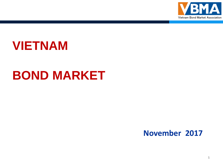

# **VIETNAM**

# **BOND MARKET**

### **November 2017**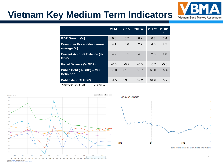# **Vietnam Key Medium Term Indicators**



|                                                    | 2014   | 2015   | 2016/e | 2017/f | 2018/  |
|----------------------------------------------------|--------|--------|--------|--------|--------|
| GDP Growth (%)                                     | 6.0    | 6.7    | 6.2    | 6.3    | 6.4    |
| <b>Consumer Price Index (annual</b><br>average, %) | 4.1    | 0.6    | 27     | 4.0    | 4.5    |
| <b>Current Account Balance (%</b><br>GDP)          | 4.9    | 0.1    | 4.0    | 2.5    | 1.8    |
| <b>Fiscal Balance (% GDP)</b>                      | $-6.3$ | $-6.2$ | $-6.5$ | $-5.7$ | $-5.6$ |
| Public Debt (% GDP) - MOF<br><b>Definition</b>     | 58.0   | 61.8   | 63.7   | 65.0   | 65.4   |
| Public debt (% GDP)                                | 54.5   | 59.6   | 62.2   | 64.6   | 65.2   |

*Sources:* GSO, MOF, SBV, and WB







SOURCE: TRADINGECONOMICS.COM | GENERAL STATISTICS OFFICE OF VIETNAM

Data from World Bank Last updated: Sep 18, 2017 02014 Google - Help - Terms of Service - Privacy - Disclaimer - Disc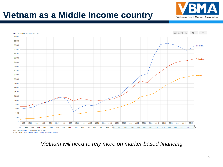## **Vietnam as a Middle Income country**





*Vietnam will need to rely more on market-based financing*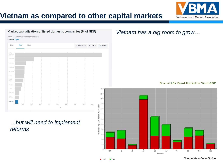

#### **Vietnam as compared to other capital markets**

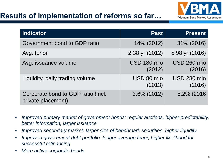### **Results of implementation of reforms so far…**



| <b>Indicator</b>                                         | <b>Past</b>           | <b>Present</b>        |
|----------------------------------------------------------|-----------------------|-----------------------|
| Government bond to GDP ratio                             | 14% (2012)            | 31% (2016)            |
| Avg. tenor                                               | 2.38 yr (2012)        | 5.98 yr (2016)        |
| Avg. issuance volume                                     | USD 180 mio<br>(2012) | USD 260 mio<br>(2016) |
| Liquidity, daily trading volume                          | USD 80 mio<br>(2013)  | USD 280 mio<br>(2016) |
| Corporate bond to GDP ratio (incl.<br>private placement) | 3.6% (2012)           | 5.2% (2016)           |

- *Improved primary market of government bonds: regular auctions, higher predictability, better information, larger issuance*
- *Improved secondary market: larger size of benchmark securities, higher liquidity*
- *Improved government debt portfolio: longer average tenor, higher likelihood for successful refinancing*
- *More active corporate bonds*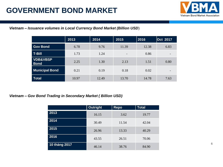### **GOVERNMENT BOND MARKET**



#### *Vietnam – Issuance volumes in Local Currency Bond Market (Billion USD*)

|                                    | 2013  | 2014  | 2015                     | 2016  | Oct 2017                 |
|------------------------------------|-------|-------|--------------------------|-------|--------------------------|
| <b>Gov Bond</b>                    | 6.78  | 9.76  | 11.39                    | 12.38 | 6.83                     |
| <b>T-Bill</b>                      | 1.73  | 1.24  | $\overline{\phantom{0}}$ | 0.86  | $\overline{\phantom{a}}$ |
| <b>VDB&amp;VBSP</b><br><b>Bond</b> | 2.25  | 1.30  | 2.13                     | 1.51  | 0.80                     |
| <b>Municipal Bond</b>              | 0.21  | 0.19  | 0.18                     | 0.02  | $\overline{\phantom{0}}$ |
| <b>Total</b>                       | 10.97 | 12.49 | 13.70                    | 14.78 | 7.63                     |

#### *Vietnam – Gov Bond Trading in Secondary Market ( Billion USD)*

|               | <b>Outright</b> | Repo  | <b>Total</b> |
|---------------|-----------------|-------|--------------|
| 2013          | 16.15           | 3.62  | 19.77        |
| 2014          | 30.49           | 11.54 | 42.04        |
| 2015          | 26.96           | 13.33 | 40.29        |
| 2016          | 43.55           | 26.51 | 70.06        |
| 10 tháng 2017 | 46.14           | 38.76 | 84.90        |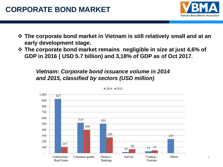

- **The corporate bond market in Vietnam is still relatively small and at an early development stage.**
- **The corporate bond market remains negligible in size at just 4,6% of GDP in 2016 ( USD 5.7 billion) and 3,18% of GDP as of Oct 2017.**

*Vietnam: Corporate bond issuance volume in 2014 and 2015, classified by sectors (USD million)*



 $2014$  2015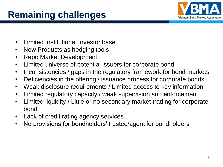# **Remaining challenges**



- Limited Institutional Investor base
- New Products as hedging tools
- Repo Market Development
- Limited universe of potential issuers for corporate bond
- Inconsistencies / gaps in the regulatory framework for bond markets
- Deficiencies in the offering / issuance process for corporate bonds
- Weak disclosure requirements / Limited access to key information
- Limited regulatory capacity / weak supervision and enforcement
- Limited liquidity / Little or no secondary market trading for corporate bond
- Lack of credit rating agency services
- No provisions for bondholders' trustee/agent for bondholders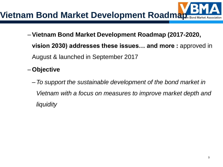

- –**Vietnam Bond Market Development Roadmap (2017-2020, vision 2030) addresses these issues… and more :** approved in August & launched in September 2017
- **Objective**
	- –*To support the sustainable development of the bond market in Vietnam with a focus on measures to improve market depth and liquidity*